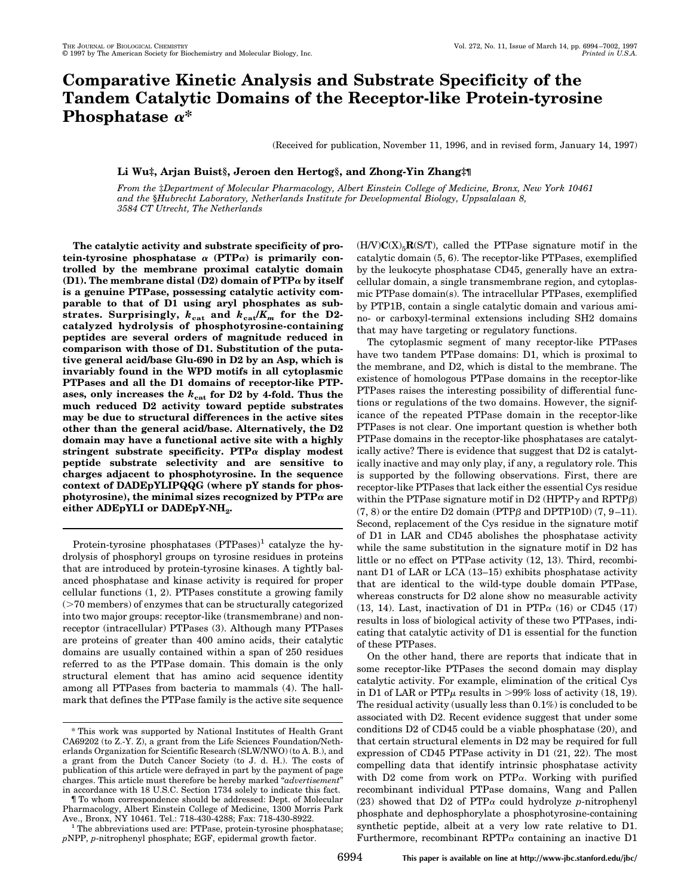# **Comparative Kinetic Analysis and Substrate Specificity of the Tandem Catalytic Domains of the Receptor-like Protein-tyrosine Phosphatase** <sup>a</sup>**\***

(Received for publication, November 11, 1996, and in revised form, January 14, 1997)

## **Li Wu‡, Arjan Buist§, Jeroen den Hertog§, and Zhong-Yin Zhang‡¶**

*From the* ‡*Department of Molecular Pharmacology, Albert Einstein College of Medicine, Bronx, New York 10461 and the* §*Hubrecht Laboratory, Netherlands Institute for Developmental Biology, Uppsalalaan 8, 3584 CT Utrecht, The Netherlands*

**The catalytic activity and substrate specificity of pro**tein-tyrosine phosphatase  $\alpha$  (PTP $\alpha$ ) is primarily con**trolled by the membrane proximal catalytic domain (D1). The membrane distal (D2) domain of PTP**<sup>a</sup> **by itself is a genuine PTPase, possessing catalytic activity comparable to that of D1 using aryl phosphates as sub**strates. Surprisingly,  $k_{cat}$  and  $k_{cat}/K_m$  for the D2**catalyzed hydrolysis of phosphotyrosine-containing peptides are several orders of magnitude reduced in comparison with those of D1. Substitution of the putative general acid/base Glu-690 in D2 by an Asp, which is invariably found in the WPD motifs in all cytoplasmic PTPases and all the D1 domains of receptor-like PTPases, only increases the** *k***cat for D2 by 4-fold. Thus the much reduced D2 activity toward peptide substrates may be due to structural differences in the active sites other than the general acid/base. Alternatively, the D2 domain may have a functional active site with a highly stringent substrate specificity. PTP**<sup>a</sup> **display modest peptide substrate selectivity and are sensitive to charges adjacent to phosphotyrosine. In the sequence context of DADEpYLIPQQG (where pY stands for phos**photyrosine), the minimal sizes recognized by  $\text{PTP}\alpha$  are either ADEpYLI or DADEpY-NH<sub>2</sub>.

Protein-tyrosine phosphatases  $(PTPases)^1$  catalyze the hydrolysis of phosphoryl groups on tyrosine residues in proteins that are introduced by protein-tyrosine kinases. A tightly balanced phosphatase and kinase activity is required for proper cellular functions (1, 2). PTPases constitute a growing family  $($ >70 members) of enzymes that can be structurally categorized into two major groups: receptor-like (transmembrane) and nonreceptor (intracellular) PTPases (3). Although many PTPases are proteins of greater than 400 amino acids, their catalytic domains are usually contained within a span of 250 residues referred to as the PTPase domain. This domain is the only structural element that has amino acid sequence identity among all PTPases from bacteria to mammals (4). The hallmark that defines the PTPase family is the active site sequence  $(H/V)C(X)_{5}R(S/T)$ , called the PTPase signature motif in the catalytic domain (5, 6). The receptor-like PTPases, exemplified by the leukocyte phosphatase CD45, generally have an extracellular domain, a single transmembrane region, and cytoplasmic PTPase domain(s). The intracellular PTPases, exemplified by PTP1B, contain a single catalytic domain and various amino- or carboxyl-terminal extensions including SH2 domains that may have targeting or regulatory functions.

The cytoplasmic segment of many receptor-like PTPases have two tandem PTPase domains: D1, which is proximal to the membrane, and D2, which is distal to the membrane. The existence of homologous PTPase domains in the receptor-like PTPases raises the interesting possibility of differential functions or regulations of the two domains. However, the significance of the repeated PTPase domain in the receptor-like PTPases is not clear. One important question is whether both PTPase domains in the receptor-like phosphatases are catalytically active? There is evidence that suggest that D2 is catalytically inactive and may only play, if any, a regulatory role. This is supported by the following observations. First, there are receptor-like PTPases that lack either the essential Cys residue within the PTPase signature motif in D2 (HPTP $\gamma$  and RPTP $\beta$ )  $(7, 8)$  or the entire D2 domain (PTP $\beta$  and DPTP10D)  $(7, 9-11)$ . Second, replacement of the Cys residue in the signature motif of D1 in LAR and CD45 abolishes the phosphatase activity while the same substitution in the signature motif in D2 has little or no effect on PTPase activity (12, 13). Third, recombinant D1 of LAR or LCA (13–15) exhibits phosphatase activity that are identical to the wild-type double domain PTPase, whereas constructs for D2 alone show no measurable activity (13, 14). Last, inactivation of D1 in PTP $\alpha$  (16) or CD45 (17) results in loss of biological activity of these two PTPases, indicating that catalytic activity of D1 is essential for the function of these PTPases.

On the other hand, there are reports that indicate that in some receptor-like PTPases the second domain may display catalytic activity. For example, elimination of the critical Cys in D1 of LAR or PTP $\mu$  results in >99% loss of activity (18, 19). The residual activity (usually less than 0.1%) is concluded to be associated with D2. Recent evidence suggest that under some conditions D2 of CD45 could be a viable phosphatase (20), and that certain structural elements in D2 may be required for full expression of CD45 PTPase activity in D1 (21, 22). The most compelling data that identify intrinsic phosphatase activity with  $D2$  come from work on PTP $\alpha$ . Working with purified recombinant individual PTPase domains, Wang and Pallen (23) showed that D2 of PTP<sup>a</sup> could hydrolyze *p*-nitrophenyl phosphate and dephosphorylate a phosphotyrosine-containing synthetic peptide, albeit at a very low rate relative to D1. Furthermore, recombinant RPTP $\alpha$  containing an inactive D1

<sup>\*</sup> This work was supported by National Institutes of Health Grant CA69202 (to Z.-Y. Z), a grant from the Life Sciences Foundation/Netherlands Organization for Scientific Research (SLW/NWO) (to A. B.), and a grant from the Dutch Cancer Society (to J. d. H.). The costs of publication of this article were defrayed in part by the payment of page charges. This article must therefore be hereby marked "*advertisement*" in accordance with 18 U.S.C. Section 1734 solely to indicate this fact.

<sup>¶</sup> To whom correspondence should be addressed: Dept. of Molecular Pharmacology, Albert Einstein College of Medicine, 1300 Morris Park

 $^{\rm 1}$  The abbreviations used are: PTPase, protein-tyrosine phosphatase; *p*NPP, *p*-nitrophenyl phosphate; EGF, epidermal growth factor.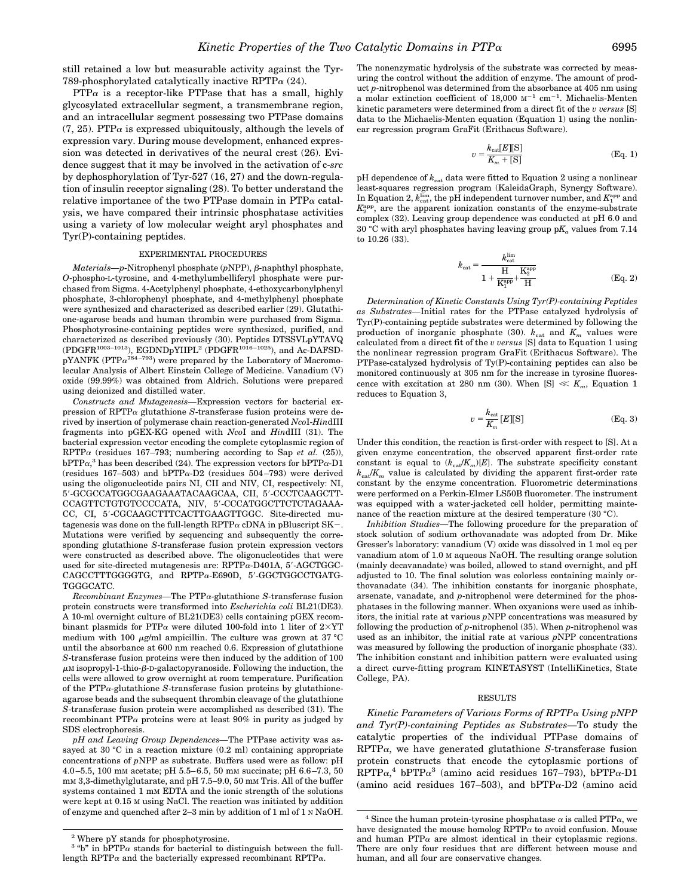still retained a low but measurable activity against the Tyr-789-phosphorylated catalytically inactive RPTP $\alpha$  (24).

 $PTP\alpha$  is a receptor-like PTPase that has a small, highly glycosylated extracellular segment, a transmembrane region, and an intracellular segment possessing two PTPase domains  $(7, 25)$ . PTP $\alpha$  is expressed ubiquitously, although the levels of expression vary. During mouse development, enhanced expression was detected in derivatives of the neural crest (26). Evidence suggest that it may be involved in the activation of c-*src* by dephosphorylation of Tyr-527 (16, 27) and the down-regulation of insulin receptor signaling (28). To better understand the relative importance of the two PTPase domain in PTP $\alpha$  catalysis, we have compared their intrinsic phosphatase activities using a variety of low molecular weight aryl phosphates and Tyr(P)-containing peptides.

### EXPERIMENTAL PROCEDURES

*Materials—p*-Nitrophenyl phosphate (*p*NPP), β-naphthyl phosphate, *O*-phospho-L-tyrosine, and 4-methylumbelliferyl phosphate were purchased from Sigma. 4-Acetylphenyl phosphate, 4-ethoxycarbonylphenyl phosphate, 3-chlorophenyl phosphate, and 4-methylphenyl phosphate were synthesized and characterized as described earlier (29). Glutathione-agarose beads and human thrombin were purchased from Sigma. Phosphotyrosine-containing peptides were synthesized, purified, and characterized as described previously (30). Peptides DTSSVLpYTAVQ (PDGFR1003–1013), EGDNDpYIIPL2 (PDGFR1016 –1025), and Ac-DAFSDpYANFK (PTP $\alpha^{784-793}$ ) were prepared by the Laboratory of Macromolecular Analysis of Albert Einstein College of Medicine. Vanadium (V) oxide (99.99%) was obtained from Aldrich. Solutions were prepared using deionized and distilled water.

*Constructs and Mutagenesis—*Expression vectors for bacterial expression of RPTP<sup>a</sup> glutathione *S*-transferase fusion proteins were derived by insertion of polymerase chain reaction-generated *Nco*I-*Hin*dIII fragments into pGEX-KG opened with *Nco*I and *Hin*dIII (31). The bacterial expression vector encoding the complete cytoplasmic region of RPTP $\alpha$  (residues 167–793; numbering according to Sap *et al.* (25)),  $bPTP\alpha$ ,<sup>3</sup> has been described (24). The expression vectors for  $bPTP\alpha$ -D1 (residues  $167-503$ ) and  $bPTP\alpha-D2$  (residues  $504-793$ ) were derived using the oligonucleotide pairs NI, CII and NIV, CI, respectively: NI, 5'-GCGCCATGGCGAAGAAATACAAGCAA, CII, 5'-CCCTCAAGCTT-CCAGTTCTGTGTCCCCATA, NIV, 5'-CCCATGGCTTCTCTAGAAA-CC, CI, 5'-CGCAAGCTTTCACTTGAAGTTGGC. Site-directed mutagenesis was done on the full-length  $RPTP\alpha$  cDNA in pBluscript SK-. Mutations were verified by sequencing and subsequently the corresponding glutathione *S*-transferase fusion protein expression vectors were constructed as described above. The oligonucleotides that were used for site-directed mutagenesis are:  $RPTP\alpha-D401A$ , 5'-AGCTGGC-CAGCCTTTGGGGTG, and RPTPa-E690D, 5'-GGCTGGCCTGATG-TGGGCATC.

*Recombinant Enzymes—*The PTPa-glutathione *S*-transferase fusion protein constructs were transformed into *Escherichia coli* BL21(DE3). A 10-ml overnight culture of BL21(DE3) cells containing pGEX recombinant plasmids for PTP $\alpha$  were diluted 100-fold into 1 liter of 2×YT medium with 100  $\mu$ g/ml ampicillin. The culture was grown at 37 °C until the absorbance at 600 nm reached 0.6. Expression of glutathione *S*-transferase fusion proteins were then induced by the addition of 100  $\mu$ M isopropyl-1-thio- $\beta$ -D-galactopyranoside. Following the induction, the cells were allowed to grow overnight at room temperature. Purification of the PTPa-glutathione *S*-transferase fusion proteins by glutathioneagarose beads and the subsequent thrombin cleavage of the glutathione *S*-transferase fusion protein were accomplished as described (31). The recombinant PTP $\alpha$  proteins were at least 90% in purity as judged by SDS electrophoresis.

*pH and Leaving Group Dependences—*The PTPase activity was assayed at 30 °C in a reaction mixture (0.2 ml) containing appropriate concentrations of *p*NPP as substrate. Buffers used were as follow: pH 4.0 –5.5, 100 mM acetate; pH 5.5– 6.5, 50 mM succinate; pH 6.6 –7.3, 50 mM 3,3-dimethylglutarate, and pH 7.5–9.0, 50 mM Tris. All of the buffer systems contained 1 mM EDTA and the ionic strength of the solutions were kept at 0.15 M using NaCl. The reaction was initiated by addition of enzyme and quenched after 2–3 min by addition of 1 ml of 1 N NaOH.

The nonenzymatic hydrolysis of the substrate was corrected by measuring the control without the addition of enzyme. The amount of product *p*-nitrophenol was determined from the absorbance at 405 nm using a molar extinction coefficient of  $18,000$   $\mathrm{M}^{-1}$  cm<sup>-1</sup>. Michaelis-Menten kinetic parameters were determined from a direct fit of the *v versus* [S] data to the Michaelis-Menten equation (Equation 1) using the nonlinear regression program GraFit (Erithacus Software).

$$
v = \frac{k_{\text{cat}}[E][S]}{K_m + [S]}
$$
 (Eq. 1)

pH dependence of  $k_{\text{cat}}$  data were fitted to Equation 2 using a nonlinear least-squares regression program (KaleidaGraph, Synergy Software). In Equation 2,  $k_{\text{cat}}^{\text{lim}},$  the pH independent turnover number, and  $K_1^{\text{app}}$  and  $K_2^{\text{app}}$ , are the apparent ionization constants of the enzyme-substrate complex (32). Leaving group dependence was conducted at pH 6.0 and 30 °C with aryl phosphates having leaving group  $pK_a$  values from 7.14 to 10.26 (33).

$$
k_{\text{cat}} = \frac{k_{\text{cat}}^{\text{lim}}}{1 + \frac{H}{K_1^{\text{app}}} + \frac{K_2^{\text{app}}}{H}}
$$
(Eq. 2)

*Determination of Kinetic Constants Using Tyr(P)-containing Peptides as Substrates—*Initial rates for the PTPase catalyzed hydrolysis of Tyr(P)-containing peptide substrates were determined by following the production of inorganic phosphate (30).  $k_{cat}$  and  $K_m$  values were calculated from a direct fit of the *v versus* [S] data to Equation 1 using the nonlinear regression program GraFit (Erithacus Software). The PTPase-catalyzed hydrolysis of Ty(P)-containing peptides can also be monitored continuously at 305 nm for the increase in tyrosine fluorescence with excitation at 280 nm (30). When  $[S] \ll K_m$ , Equation 1 reduces to Equation 3,

$$
v = \frac{k_{\text{cat}}}{K_m} [E][S] \tag{Eq. 3}
$$

Under this condition, the reaction is first-order with respect to [S]. At a given enzyme concentration, the observed apparent first-order rate constant is equal to  $(k_{ca}/K_m)[E]$ . The substrate specificity constant  $k_{\text{cat}}/K_m$  value is calculated by dividing the apparent first-order rate constant by the enzyme concentration. Fluorometric determinations were performed on a Perkin-Elmer LS50B fluorometer. The instrument was equipped with a water-jacketed cell holder, permitting maintenance of the reaction mixture at the desired temperature (30 °C).

*Inhibition Studies—*The following procedure for the preparation of stock solution of sodium orthovanadate was adopted from Dr. Mike Gresser's laboratory: vanadium (V) oxide was dissolved in 1 mol eq per vanadium atom of 1.0 M aqueous NaOH. The resulting orange solution (mainly decavanadate) was boiled, allowed to stand overnight, and pH adjusted to 10. The final solution was colorless containing mainly orthovanadate (34). The inhibition constants for inorganic phosphate, arsenate, vanadate, and *p*-nitrophenol were determined for the phosphatases in the following manner. When oxyanions were used as inhibitors, the initial rate at various *p*NPP concentrations was measured by following the production of *p*-nitrophenol (35). When *p*-nitrophenol was used as an inhibitor, the initial rate at various *p*NPP concentrations was measured by following the production of inorganic phosphate (33). The inhibition constant and inhibition pattern were evaluated using a direct curve-fitting program KINETASYST (IntelliKinetics, State College, PA).

#### RESULTS

*Kinetic Parameters of Various Forms of RPTP*<sup>a</sup> *Using pNPP and Tyr(P)-containing Peptides as Substrates—*To study the catalytic properties of the individual PTPase domains of  $RPTP\alpha$ , we have generated glutathione *S*-transferase fusion protein constructs that encode the cytoplasmic portions of  $RPTP\alpha$ <sup>4</sup> bPTP $\alpha$ <sup>3</sup> (amino acid residues 167-793), bPTP $\alpha$ -D1 (amino acid residues 167–503), and  $bPTP\alpha-D2$  (amino acid

 $^{\rm 2}$  Where pY stands for phosphotyrosine.

<sup>&</sup>lt;sup>3</sup> "b" in bPTP $\alpha$  stands for bacterial to distinguish between the fulllength RPTP $\alpha$  and the bacterially expressed recombinant RPTP $\alpha$ .

<sup>&</sup>lt;sup>4</sup> Since the human protein-tyrosine phosphatase  $\alpha$  is called PTP $\alpha$ , we have designated the mouse homolog  $RPTP\alpha$  to avoid confusion. Mouse and human PTP $\alpha$  are almost identical in their cytoplasmic regions. There are only four residues that are different between mouse and human, and all four are conservative changes.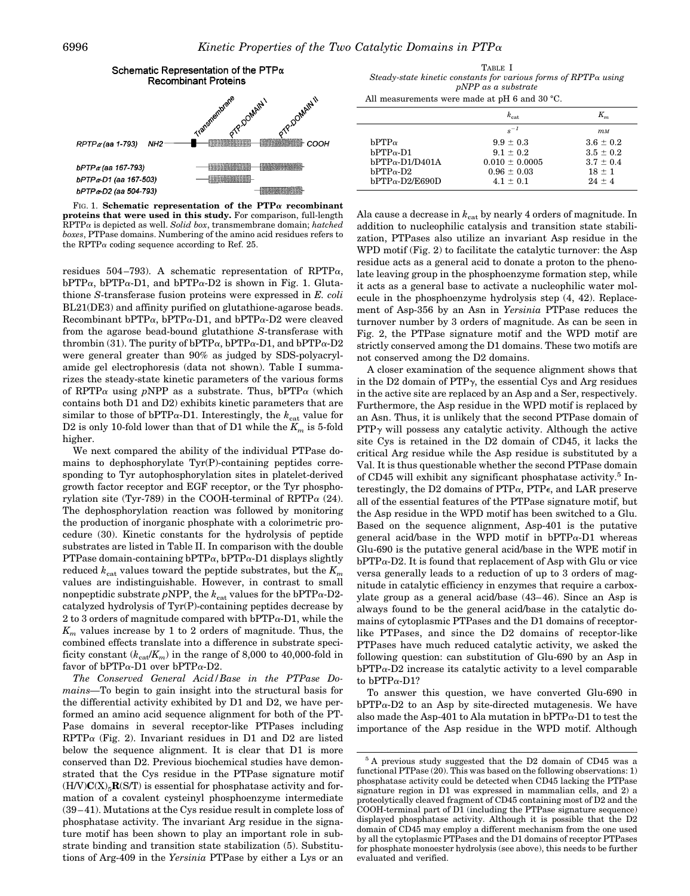

FIG. 1. **Schematic representation of the PTP**<sup>a</sup> **recombinant proteins that were used in this study.** For comparison, full-length RPTP<sup>a</sup> is depicted as well. *Solid box*, transmembrane domain; *hatched boxes*, PTPase domains. Numbering of the amino acid residues refers to the RPTP $\alpha$  coding sequence according to Ref. 25.

residues 504-793). A schematic representation of RPTP $\alpha$ ,  $bPTP\alpha$ ,  $bPTP\alpha$ -D1, and  $bPTP\alpha$ -D2 is shown in Fig. 1. Glutathione *S*-transferase fusion proteins were expressed in *E. coli* BL21(DE3) and affinity purified on glutathione-agarose beads. Recombinant bPTP $\alpha$ , bPTP $\alpha$ -D1, and bPTP $\alpha$ -D2 were cleaved from the agarose bead-bound glutathione *S*-transferase with thrombin (31). The purity of  $bPTP\alpha$ ,  $bPTP\alpha$ -D1, and  $bPTP\alpha$ -D2 were general greater than 90% as judged by SDS-polyacrylamide gel electrophoresis (data not shown). Table I summarizes the steady-state kinetic parameters of the various forms of RPTP $\alpha$  using *p*NPP as a substrate. Thus, bPTP $\alpha$  (which contains both D1 and D2) exhibits kinetic parameters that are similar to those of bPTP $\alpha$ -D1. Interestingly, the  $k_{\text{cat}}$  value for D2 is only 10-fold lower than that of D1 while the  $K_m$  is 5-fold higher.

We next compared the ability of the individual PTPase domains to dephosphorylate Tyr(P)-containing peptides corresponding to Tyr autophosphorylation sites in platelet-derived growth factor receptor and EGF receptor, or the Tyr phosphorylation site (Tyr-789) in the COOH-terminal of RPTP $\alpha$  (24). The dephosphorylation reaction was followed by monitoring the production of inorganic phosphate with a colorimetric procedure (30). Kinetic constants for the hydrolysis of peptide substrates are listed in Table II. In comparison with the double PTPase domain-containing  $bPTP\alpha$ ,  $bPTP\alpha$ -D1 displays slightly reduced  $k_{\text{cat}}$  values toward the peptide substrates, but the  $K_m$ values are indistinguishable. However, in contrast to small nonpeptidic substrate *pNPP*, the  $k_{\text{cat}}$  values for the bPTP $\alpha$ -D2catalyzed hydrolysis of Tyr(P)-containing peptides decrease by 2 to 3 orders of magnitude compared with  $bPTP\alpha-D1$ , while the  $K<sub>m</sub>$  values increase by 1 to 2 orders of magnitude. Thus, the combined effects translate into a difference in substrate specificity constant  $(k_{\text{cat}}/K_m)$  in the range of 8,000 to 40,000-fold in favor of bPTP $\alpha$ -D1 over bPTP $\alpha$ -D2.

*The Conserved General Acid/Base in the PTPase Domains—*To begin to gain insight into the structural basis for the differential activity exhibited by D1 and D2, we have performed an amino acid sequence alignment for both of the PT-Pase domains in several receptor-like PTPases including  $RPTP\alpha$  (Fig. 2). Invariant residues in D1 and D2 are listed below the sequence alignment. It is clear that D1 is more conserved than D2. Previous biochemical studies have demonstrated that the Cys residue in the PTPase signature motif  $(H/V)C(X)_{5}R(S/T)$  is essential for phosphatase activity and formation of a covalent cysteinyl phosphoenzyme intermediate (39 – 41). Mutations at the Cys residue result in complete loss of phosphatase activity. The invariant Arg residue in the signature motif has been shown to play an important role in substrate binding and transition state stabilization (5). Substitutions of Arg-409 in the *Yersinia* PTPase by either a Lys or an

TABLE I *Steady-state kinetic constants for various forms of RPTP*<sup>a</sup> *using pNPP as a substrate*

|  | All measurements were made at pH 6 and 30 °C. |  |
|--|-----------------------------------------------|--|
|--|-----------------------------------------------|--|

|                                                                                                            | $k_{\text{cat}}$                                                                     |                                                                           |
|------------------------------------------------------------------------------------------------------------|--------------------------------------------------------------------------------------|---------------------------------------------------------------------------|
|                                                                                                            | $s^{-1}$                                                                             | $m_{\rm M}$                                                               |
| $bPTP\alpha$<br>$bPTP_{\alpha}$ -D1<br>$bPTP\alpha - D1/D401A$<br>$bPTP\alpha-D2$<br>$bPTP\alpha-D2/E690D$ | $9.9 \pm 0.3$<br>$9.1 + 0.2$<br>$0.010 \pm 0.0005$<br>$0.96 \pm 0.03$<br>$4.1 + 0.1$ | $3.6 \pm 0.2$<br>$3.5 \pm 0.2$<br>$3.7 \pm 0.4$<br>$18 \pm 1$<br>$24 + 4$ |

Ala cause a decrease in  $k_{\text{cat}}$  by nearly 4 orders of magnitude. In addition to nucleophilic catalysis and transition state stabilization, PTPases also utilize an invariant Asp residue in the WPD motif (Fig. 2) to facilitate the catalytic turnover: the Asp residue acts as a general acid to donate a proton to the phenolate leaving group in the phosphoenzyme formation step, while it acts as a general base to activate a nucleophilic water molecule in the phosphoenzyme hydrolysis step (4, 42). Replacement of Asp-356 by an Asn in *Yersinia* PTPase reduces the turnover number by 3 orders of magnitude. As can be seen in Fig. 2, the PTPase signature motif and the WPD motif are strictly conserved among the D1 domains. These two motifs are not conserved among the D2 domains.

A closer examination of the sequence alignment shows that in the D2 domain of  $PTPy$ , the essential Cys and Arg residues in the active site are replaced by an Asp and a Ser, respectively. Furthermore, the Asp residue in the WPD motif is replaced by an Asn. Thus, it is unlikely that the second PTPase domain of  $PTP<sub>\gamma</sub>$  will possess any catalytic activity. Although the active site Cys is retained in the D2 domain of CD45, it lacks the critical Arg residue while the Asp residue is substituted by a Val. It is thus questionable whether the second PTPase domain of CD45 will exhibit any significant phosphatase activity.<sup>5</sup> Interestingly, the D2 domains of  $PTP\alpha$ ,  $PTP\epsilon$ , and LAR preserve all of the essential features of the PTPase signature motif, but the Asp residue in the WPD motif has been switched to a Glu. Based on the sequence alignment, Asp-401 is the putative general acid/base in the WPD motif in  $bPTP\alpha-D1$  whereas Glu-690 is the putative general acid/base in the WPE motif in  $bPTP\alpha-D2$ . It is found that replacement of Asp with Glu or vice versa generally leads to a reduction of up to 3 orders of magnitude in catalytic efficiency in enzymes that require a carboxylate group as a general acid/base (43– 46). Since an Asp is always found to be the general acid/base in the catalytic domains of cytoplasmic PTPases and the D1 domains of receptorlike PTPases, and since the D2 domains of receptor-like PTPases have much reduced catalytic activity, we asked the following question: can substitution of Glu-690 by an Asp in  $bPTP\alpha-D2$  increase its catalytic activity to a level comparable to  $bPTP\alpha-D1$ ?

To answer this question, we have converted Glu-690 in  $bPTP\alpha-D2$  to an Asp by site-directed mutagenesis. We have also made the Asp-401 to Ala mutation in  $bPTP\alpha-D1$  to test the importance of the Asp residue in the WPD motif. Although

<sup>5</sup> A previous study suggested that the D2 domain of CD45 was a functional PTPase (20). This was based on the following observations: 1) phosphatase activity could be detected when CD45 lacking the PTPase signature region in D1 was expressed in mammalian cells, and 2) a proteolytically cleaved fragment of CD45 containing most of D2 and the COOH-terminal part of D1 (including the PTPase signature sequence) displayed phosphatase activity. Although it is possible that the D2 domain of CD45 may employ a different mechanism from the one used by all the cytoplasmic PTPases and the D1 domains of receptor PTPases for phosphate monoester hydrolysis (see above), this needs to be further evaluated and verified.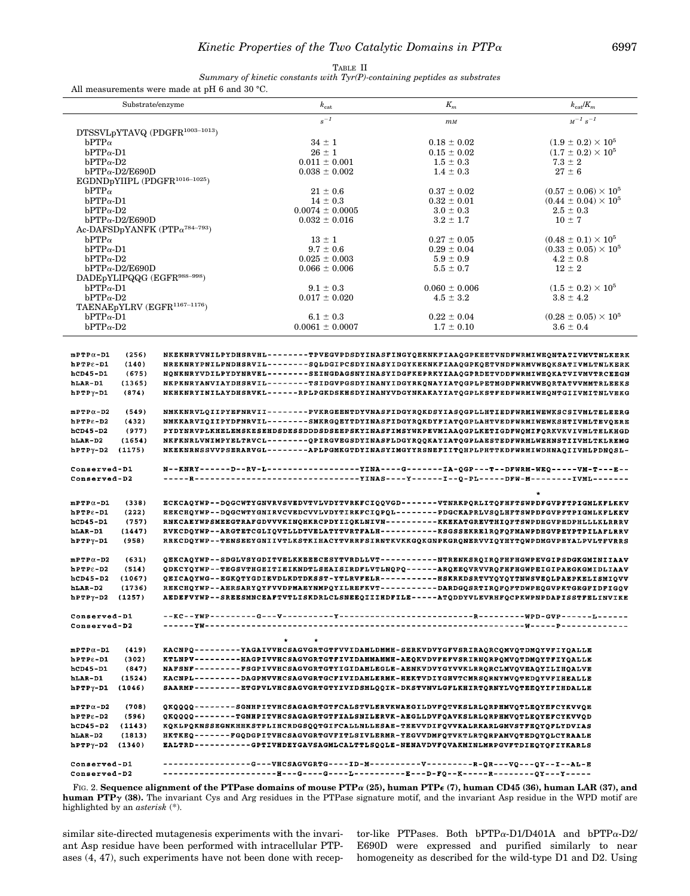| TABLE II                                                                               |
|----------------------------------------------------------------------------------------|
| Summary of kinetic constants with $\mathrm{Tyr}(P)$ -containing peptides as substrates |
| $m_{\text{tot}}$ more made at $n_{\text{H}}$ $\alpha$ and 20.80                        |

|                                                                                                                                                                                                                                                                                                                                                                                                                                                                                                                                                                                                                                                                                                                                                                                                                                                                                                                                                                                                                                                                                                                                                                                                                                                                                                                                                                                                                                                                                                                                                                      | All measurements were made at pH 6 and 30 °C.                                                                                                                                           |                                                                                                                                                                            |                                |                                            |
|----------------------------------------------------------------------------------------------------------------------------------------------------------------------------------------------------------------------------------------------------------------------------------------------------------------------------------------------------------------------------------------------------------------------------------------------------------------------------------------------------------------------------------------------------------------------------------------------------------------------------------------------------------------------------------------------------------------------------------------------------------------------------------------------------------------------------------------------------------------------------------------------------------------------------------------------------------------------------------------------------------------------------------------------------------------------------------------------------------------------------------------------------------------------------------------------------------------------------------------------------------------------------------------------------------------------------------------------------------------------------------------------------------------------------------------------------------------------------------------------------------------------------------------------------------------------|-----------------------------------------------------------------------------------------------------------------------------------------------------------------------------------------|----------------------------------------------------------------------------------------------------------------------------------------------------------------------------|--------------------------------|--------------------------------------------|
|                                                                                                                                                                                                                                                                                                                                                                                                                                                                                                                                                                                                                                                                                                                                                                                                                                                                                                                                                                                                                                                                                                                                                                                                                                                                                                                                                                                                                                                                                                                                                                      | Substrate/enzyme                                                                                                                                                                        | $k_{\mathrm{cat}}$                                                                                                                                                         | $K_m$                          | $k_{\rm cat}/K_m$                          |
|                                                                                                                                                                                                                                                                                                                                                                                                                                                                                                                                                                                                                                                                                                                                                                                                                                                                                                                                                                                                                                                                                                                                                                                                                                                                                                                                                                                                                                                                                                                                                                      |                                                                                                                                                                                         | $s^{-1}$                                                                                                                                                                   | $m$ <sub>M</sub>               | $M^{-1} s^{-1}$                            |
| DTSSVLpYTAVQ (PDGFR <sup>1003-1013</sup> )                                                                                                                                                                                                                                                                                                                                                                                                                                                                                                                                                                                                                                                                                                                                                                                                                                                                                                                                                                                                                                                                                                                                                                                                                                                                                                                                                                                                                                                                                                                           |                                                                                                                                                                                         |                                                                                                                                                                            |                                |                                            |
| $bPTP\alpha$                                                                                                                                                                                                                                                                                                                                                                                                                                                                                                                                                                                                                                                                                                                                                                                                                                                                                                                                                                                                                                                                                                                                                                                                                                                                                                                                                                                                                                                                                                                                                         |                                                                                                                                                                                         | $34 \pm 1$                                                                                                                                                                 | $0.18 \pm 0.02$                | $(1.9 \pm 0.2) \times 10^5$                |
| $bPTP\alpha-D1$<br>$bPTP\alpha-D2$                                                                                                                                                                                                                                                                                                                                                                                                                                                                                                                                                                                                                                                                                                                                                                                                                                                                                                                                                                                                                                                                                                                                                                                                                                                                                                                                                                                                                                                                                                                                   |                                                                                                                                                                                         | $26 \pm 1$<br>$0.011 \pm 0.001$                                                                                                                                            | $0.15 \pm 0.02$                | $(1.7 \pm 0.2) \times 10^5$<br>$7.3 \pm 2$ |
| $bPTP\alpha-D2/E690D$                                                                                                                                                                                                                                                                                                                                                                                                                                                                                                                                                                                                                                                                                                                                                                                                                                                                                                                                                                                                                                                                                                                                                                                                                                                                                                                                                                                                                                                                                                                                                |                                                                                                                                                                                         | $0.038 \pm 0.002$                                                                                                                                                          | $1.5 \pm 0.3$<br>$1.4 \pm 0.3$ | $27 \pm 6$                                 |
| EGDNDpYIIPL (PDGFR <sup>1016-1025</sup> )                                                                                                                                                                                                                                                                                                                                                                                                                                                                                                                                                                                                                                                                                                                                                                                                                                                                                                                                                                                                                                                                                                                                                                                                                                                                                                                                                                                                                                                                                                                            |                                                                                                                                                                                         |                                                                                                                                                                            |                                |                                            |
| $bPTP\alpha$                                                                                                                                                                                                                                                                                                                                                                                                                                                                                                                                                                                                                                                                                                                                                                                                                                                                                                                                                                                                                                                                                                                                                                                                                                                                                                                                                                                                                                                                                                                                                         |                                                                                                                                                                                         | $21 \pm 0.6$                                                                                                                                                               | $0.37 \pm 0.02$                | $(0.57 \pm 0.06) \times 10^5$              |
| $bPTP\alpha-D1$                                                                                                                                                                                                                                                                                                                                                                                                                                                                                                                                                                                                                                                                                                                                                                                                                                                                                                                                                                                                                                                                                                                                                                                                                                                                                                                                                                                                                                                                                                                                                      |                                                                                                                                                                                         | $14 \pm 0.3$                                                                                                                                                               | $0.32 \pm 0.01$                | $(0.44 \pm 0.04) \times 10^5$              |
| $bPTP\alpha-D2$                                                                                                                                                                                                                                                                                                                                                                                                                                                                                                                                                                                                                                                                                                                                                                                                                                                                                                                                                                                                                                                                                                                                                                                                                                                                                                                                                                                                                                                                                                                                                      |                                                                                                                                                                                         | $0.0074 \pm 0.0005$                                                                                                                                                        | $3.0 \pm 0.3$                  | $2.5 \pm 0.3$                              |
| $bPTP\alpha-D2/E690D$                                                                                                                                                                                                                                                                                                                                                                                                                                                                                                                                                                                                                                                                                                                                                                                                                                                                                                                                                                                                                                                                                                                                                                                                                                                                                                                                                                                                                                                                                                                                                |                                                                                                                                                                                         | $0.032 \pm 0.016$                                                                                                                                                          | $3.2 \pm 1.7$                  | $10 \pm 7$                                 |
| Ac-DAFSDpYANFK (PTP $\alpha^{784-793}$ )                                                                                                                                                                                                                                                                                                                                                                                                                                                                                                                                                                                                                                                                                                                                                                                                                                                                                                                                                                                                                                                                                                                                                                                                                                                                                                                                                                                                                                                                                                                             |                                                                                                                                                                                         |                                                                                                                                                                            |                                |                                            |
| $bPTP\alpha$                                                                                                                                                                                                                                                                                                                                                                                                                                                                                                                                                                                                                                                                                                                                                                                                                                                                                                                                                                                                                                                                                                                                                                                                                                                                                                                                                                                                                                                                                                                                                         |                                                                                                                                                                                         | $13 \pm 1$                                                                                                                                                                 | $0.27 \pm 0.05$                | $(0.48 \pm 0.1) \times 10^5$               |
| $bPTP\alpha-D1$                                                                                                                                                                                                                                                                                                                                                                                                                                                                                                                                                                                                                                                                                                                                                                                                                                                                                                                                                                                                                                                                                                                                                                                                                                                                                                                                                                                                                                                                                                                                                      |                                                                                                                                                                                         | $9.7 \pm 0.6$                                                                                                                                                              | $0.29 \pm 0.04$                | $(0.33 \pm 0.05) \times 10^5$              |
| $bPTP\alpha-D2$<br>$bPTP\alpha-D2/E690D$                                                                                                                                                                                                                                                                                                                                                                                                                                                                                                                                                                                                                                                                                                                                                                                                                                                                                                                                                                                                                                                                                                                                                                                                                                                                                                                                                                                                                                                                                                                             |                                                                                                                                                                                         | $0.025 \pm 0.003$                                                                                                                                                          | $5.9 \pm 0.9$                  | $4.2 \pm 0.8$<br>$12 \pm 2$                |
| DADEpYLIPQQG (EGFR <sup>988-998</sup> )                                                                                                                                                                                                                                                                                                                                                                                                                                                                                                                                                                                                                                                                                                                                                                                                                                                                                                                                                                                                                                                                                                                                                                                                                                                                                                                                                                                                                                                                                                                              |                                                                                                                                                                                         | $0.066 \pm 0.006$                                                                                                                                                          | $5.5 \pm 0.7$                  |                                            |
| $bPTP\alpha-D1$                                                                                                                                                                                                                                                                                                                                                                                                                                                                                                                                                                                                                                                                                                                                                                                                                                                                                                                                                                                                                                                                                                                                                                                                                                                                                                                                                                                                                                                                                                                                                      |                                                                                                                                                                                         | $9.1 \pm 0.3$                                                                                                                                                              | $0.060 \pm 0.006$              | $(1.5 \pm 0.2) \times 10^5$                |
| $bPTP\alpha-D2$                                                                                                                                                                                                                                                                                                                                                                                                                                                                                                                                                                                                                                                                                                                                                                                                                                                                                                                                                                                                                                                                                                                                                                                                                                                                                                                                                                                                                                                                                                                                                      |                                                                                                                                                                                         | $0.017 \pm 0.020$                                                                                                                                                          | $4.5 \pm 3.2$                  | $3.8 \pm 4.2$                              |
| TAENAEpYLRV (EGFR <sup>1167-1176</sup> )                                                                                                                                                                                                                                                                                                                                                                                                                                                                                                                                                                                                                                                                                                                                                                                                                                                                                                                                                                                                                                                                                                                                                                                                                                                                                                                                                                                                                                                                                                                             |                                                                                                                                                                                         |                                                                                                                                                                            |                                |                                            |
| $bPTP\alpha-D1$                                                                                                                                                                                                                                                                                                                                                                                                                                                                                                                                                                                                                                                                                                                                                                                                                                                                                                                                                                                                                                                                                                                                                                                                                                                                                                                                                                                                                                                                                                                                                      |                                                                                                                                                                                         | $6.1 \pm 0.3$                                                                                                                                                              | $0.22 \pm 0.04$                | $(0.28 \pm 0.05) \times 10^5$              |
| $bPTP\alpha-D2$                                                                                                                                                                                                                                                                                                                                                                                                                                                                                                                                                                                                                                                                                                                                                                                                                                                                                                                                                                                                                                                                                                                                                                                                                                                                                                                                                                                                                                                                                                                                                      |                                                                                                                                                                                         | $0.0061 \pm 0.0007$                                                                                                                                                        | $1.7 \pm 0.10$                 | $3.6 \pm 0.4$                              |
| (140)<br>NREKNRYPNILPNDHSRVIL--------SQLDGIPCSDYINASYIDGYKEKNKFIAAQGPKQETVNDFWRMVWEQKSATIVMLTNLKERK<br>$h$ PTP $\varepsilon$ -D1<br>(675)<br>$hCD45-D1$<br>NQNKNRYVDILPYDYNRVEL--------SEINGDAGSNYINASYIDGFKEPRKYIAAQGPRDETVDDFWRMIWEQKATVIVMVTRCEEGN<br>(1365)<br>hLAR-D1<br>NKPKNRYANVIAYDHSRVIL-------TSIDGVPGSDYINANYIDGYRKQNAYIATQGPLPETMGDFWRMVWEQRTATVVMMTRLEEKS<br>$hPTP\gamma-D1$<br>(874)<br>NKHKNRYINILAYDHSRVKL------RPLPGKDSKHSDYINANYVDGYNKAKAYIATQGPLKSTFEDFWRMIWEQNTGIIVMITNLVEKG<br>(549)<br>NMKKNRVLQIIPYEFNRVII--------PVKRGEENTDYVNASFIDGYRQKDSYIASQGPLLHTIEDFWRMIWEWKSCSIVMLTELEERG<br>$m$ PTP $\alpha$ -D2<br>(432)<br>NMKKARVIQIIPYDFNRVIL--------SMKRGQEYTDYINASFIDGYRQKDYFIATQGPLAHTVEDFWRMIWEWKSHTIVMLTEVQERE<br>$hPTP\epsilon - D2$<br>(977)<br>hCD45-D2<br>PYDYNRVPLKHELEMSKESEHDSDESSDDDSDSEEPSKYINASFIMSYWKPEVMIAAQGPLKETIGDFWQMIFQRKVKVIVMLTELKHGD<br>hLAR-D2<br>(1654)<br>NKFKNRLVNIMPYELTRVCL--------QPIRGVEGSDYINASFLDGYRQQKAYIATQGPLAESTEDFWRMLWEHNSTIIVMLTKLREMG<br>hPTPy-D2<br>(1175)<br>NKEKNRNSSVVPSERARVGL-------APLPGMKGTDYINASYIMGYYRSNEFIITQHPLPHTTKDFWRMIWDHNAQIIVMLPDNQSL-<br>Conserved-D1<br>------YINA----G-------IA-QGP---T--DFWRM-WEQ-----VM-T---E--<br>N--KNRY------D--RV-L<br>Conserved-D2<br>---YINAS----Y------I--Q-PL-----DFW-M--------IVML<br>$m$ PTP $\alpha$ -D1<br>(338)<br>ECKCAQYWP--DQGCWTYGNVRVSVEDVTVLVDYTVRKFCIQQVGD-------VTNRKPQRLITQFHFTSWPDFGVPFTPIGMLKFLKKV<br>(222)<br>EEKCHQYWP--DQGCWTYGNIRVCVEDCVVLVDYTIRKFCIQPQL--------PDGCKAPRLVSQLHFTSWPDFGVPFTPIGMLKFLKKV<br>$h$ PTP $\varepsilon$ -D1 |                                                                                                                                                                                         |                                                                                                                                                                            |                                |                                            |
| (757)<br>hCD45-D1                                                                                                                                                                                                                                                                                                                                                                                                                                                                                                                                                                                                                                                                                                                                                                                                                                                                                                                                                                                                                                                                                                                                                                                                                                                                                                                                                                                                                                                                                                                                                    | RNKCAEYWPSMEEGTRAFGDVVVKINQHKRCPDYIIQKLNIVN----------KKEKATGREVTHIQFTSWPDHGVPEDPHLLLKLRRRV<br>RVKCDQYWP--ARGTETCGLIQVTLLDTVELATYTVRTFALH----------KSGSSEKRE1RQFQFMAWPDHGVPEYPTPILAFLRRV |                                                                                                                                                                            |                                |                                            |
| (1447)<br>hLAR-D1<br>(958)<br>$h$ PTP $\gamma$ -D1                                                                                                                                                                                                                                                                                                                                                                                                                                                                                                                                                                                                                                                                                                                                                                                                                                                                                                                                                                                                                                                                                                                                                                                                                                                                                                                                                                                                                                                                                                                   |                                                                                                                                                                                         | RRKCDQYWP--TENSEEYGNIIVTLKSTKIHACYTVRRFSIRNTKVKKGQKGNPKGRQNERVVIQYHYTQWPDMGVPEYALPVLTFVRRS                                                                                 |                                |                                            |
|                                                                                                                                                                                                                                                                                                                                                                                                                                                                                                                                                                                                                                                                                                                                                                                                                                                                                                                                                                                                                                                                                                                                                                                                                                                                                                                                                                                                                                                                                                                                                                      |                                                                                                                                                                                         |                                                                                                                                                                            |                                |                                            |
| (631)<br>$mPTP0-D2$                                                                                                                                                                                                                                                                                                                                                                                                                                                                                                                                                                                                                                                                                                                                                                                                                                                                                                                                                                                                                                                                                                                                                                                                                                                                                                                                                                                                                                                                                                                                                  |                                                                                                                                                                                         | QEKCAQYWP--SDGLVSYGDITVELKKEEECESYTVRDLLVT----------NTRENKSRQIRQFHFHGWPEVGIPSDGKGMINIIAAV                                                                                  |                                |                                            |
| (514)<br>$h$ PTP $\varepsilon$ -D2                                                                                                                                                                                                                                                                                                                                                                                                                                                                                                                                                                                                                                                                                                                                                                                                                                                                                                                                                                                                                                                                                                                                                                                                                                                                                                                                                                                                                                                                                                                                   |                                                                                                                                                                                         | QDKCYQYWP--TEGSVTHGEITIEIKNDTLSEAISIRDFLVTLNQPQ------ARQEEQVRVVRQFHFHGWPEIGIPAEGKGMIDLIAAV                                                                                 |                                |                                            |
| (1067)<br>hCD45-D2                                                                                                                                                                                                                                                                                                                                                                                                                                                                                                                                                                                                                                                                                                                                                                                                                                                                                                                                                                                                                                                                                                                                                                                                                                                                                                                                                                                                                                                                                                                                                   |                                                                                                                                                                                         | QEICAQYWG--EGKQTYGDIEVDLKDTDKSST-YTLRVFELR-----------HSKRKDSRTVYQYQYTNWSVEQLPAEPKELISMIQVV                                                                                 |                                |                                            |
| (1736)<br>hLAR-D2                                                                                                                                                                                                                                                                                                                                                                                                                                                                                                                                                                                                                                                                                                                                                                                                                                                                                                                                                                                                                                                                                                                                                                                                                                                                                                                                                                                                                                                                                                                                                    |                                                                                                                                                                                         | REKCHQYWP--AERSARYQYFVVDPMAEYNMPQYILREFKVT----------DARDGQSRTIRQFQFTDWPEQGVPKTGEGFIDFIGQV                                                                                  |                                |                                            |
| $hPTP\gamma - D2$ (1257)                                                                                                                                                                                                                                                                                                                                                                                                                                                                                                                                                                                                                                                                                                                                                                                                                                                                                                                                                                                                                                                                                                                                                                                                                                                                                                                                                                                                                                                                                                                                             |                                                                                                                                                                                         | AEDEFVYWP--SREESMNCEAFTVTLISKDRLCLSNEEQIIIHDFILE-----ATQDDYVLEVRHFQCPKWPNPDAPISSTFELINVIKE                                                                                 |                                |                                            |
| Conserved-D1                                                                                                                                                                                                                                                                                                                                                                                                                                                                                                                                                                                                                                                                                                                                                                                                                                                                                                                                                                                                                                                                                                                                                                                                                                                                                                                                                                                                                                                                                                                                                         |                                                                                                                                                                                         |                                                                                                                                                                            |                                |                                            |
| Conserved-D2                                                                                                                                                                                                                                                                                                                                                                                                                                                                                                                                                                                                                                                                                                                                                                                                                                                                                                                                                                                                                                                                                                                                                                                                                                                                                                                                                                                                                                                                                                                                                         |                                                                                                                                                                                         |                                                                                                                                                                            |                                |                                            |
|                                                                                                                                                                                                                                                                                                                                                                                                                                                                                                                                                                                                                                                                                                                                                                                                                                                                                                                                                                                                                                                                                                                                                                                                                                                                                                                                                                                                                                                                                                                                                                      |                                                                                                                                                                                         |                                                                                                                                                                            |                                |                                            |
|                                                                                                                                                                                                                                                                                                                                                                                                                                                                                                                                                                                                                                                                                                                                                                                                                                                                                                                                                                                                                                                                                                                                                                                                                                                                                                                                                                                                                                                                                                                                                                      |                                                                                                                                                                                         | $\bullet$<br>$\bullet$                                                                                                                                                     |                                |                                            |
| $m$ PTP $\alpha$ -D1<br>(419)<br>hPTPs-D1<br>(302)                                                                                                                                                                                                                                                                                                                                                                                                                                                                                                                                                                                                                                                                                                                                                                                                                                                                                                                                                                                                                                                                                                                                                                                                                                                                                                                                                                                                                                                                                                                   |                                                                                                                                                                                         | KACNPQ---------YAGAIVVHCSAGVGRTGTFVVIDAMLDMMH-SERKVDVYGFVSRIRAQRCQMVQTDMQYVFIYQALLE<br>KTLNPV---------HAGPIVVHCSAGVGRTGTFIVIDAMMAMMH-AEQKVDVFEFVSRIRNQRPQMVQTDMQYTFIYQALLE |                                |                                            |
| hCD45-D1<br>(847)                                                                                                                                                                                                                                                                                                                                                                                                                                                                                                                                                                                                                                                                                                                                                                                                                                                                                                                                                                                                                                                                                                                                                                                                                                                                                                                                                                                                                                                                                                                                                    |                                                                                                                                                                                         | NAFSNF--------FSGPIVVHCSAGVGRTGTYIGIDAMLEGLE-AENKVDVYGYVVKLRRQRCLMVQVEAQYILIHQALVE                                                                                         |                                |                                            |
| hLAR-D1<br>(1524)                                                                                                                                                                                                                                                                                                                                                                                                                                                                                                                                                                                                                                                                                                                                                                                                                                                                                                                                                                                                                                                                                                                                                                                                                                                                                                                                                                                                                                                                                                                                                    |                                                                                                                                                                                         | KACNPL--------DAGPMVVHCSAGVGRTGCFIVIDAMLERMK-HEKTVDIYGHVTCMRSQRNYMVQTEDQYVFIHEALLE                                                                                         |                                |                                            |
| $hPTP\gamma-D1$ (1046)                                                                                                                                                                                                                                                                                                                                                                                                                                                                                                                                                                                                                                                                                                                                                                                                                                                                                                                                                                                                                                                                                                                                                                                                                                                                                                                                                                                                                                                                                                                                               |                                                                                                                                                                                         | SAARMP---------ETGPVLVHCSAGVGRTGTYIVIDSMLQQIK-DKSTVNVLGFLKHIRTQRNYLVQTEEQYIFIHDALLE                                                                                        |                                |                                            |
|                                                                                                                                                                                                                                                                                                                                                                                                                                                                                                                                                                                                                                                                                                                                                                                                                                                                                                                                                                                                                                                                                                                                                                                                                                                                                                                                                                                                                                                                                                                                                                      |                                                                                                                                                                                         |                                                                                                                                                                            |                                |                                            |
| $m$ PTP $\alpha$ -D2<br>(708)                                                                                                                                                                                                                                                                                                                                                                                                                                                                                                                                                                                                                                                                                                                                                                                                                                                                                                                                                                                                                                                                                                                                                                                                                                                                                                                                                                                                                                                                                                                                        |                                                                                                                                                                                         | QKQQQQ--------SGNHPITVHCSAGAGRTGTFCALSTVLERVKWAEGILDVFQTVKSLRLQRPHMVQTLEQYEFCYKVVQE                                                                                        |                                |                                            |
| (596)<br>$hPPPE-D2$                                                                                                                                                                                                                                                                                                                                                                                                                                                                                                                                                                                                                                                                                                                                                                                                                                                                                                                                                                                                                                                                                                                                                                                                                                                                                                                                                                                                                                                                                                                                                  |                                                                                                                                                                                         | QKQQQQ--------TGNHPITVHCSAGAGRTGTFIALSNILERVK-AEGLLDVFQAVKSLRLQRPHMVQTLEQYEFCYKVVOD                                                                                        |                                |                                            |
| $hCD45-D2$<br>(1143)                                                                                                                                                                                                                                                                                                                                                                                                                                                                                                                                                                                                                                                                                                                                                                                                                                                                                                                                                                                                                                                                                                                                                                                                                                                                                                                                                                                                                                                                                                                                                 |                                                                                                                                                                                         | KQKLPQKNSSEGNKHHKSTPLIHCRDGSQQTGIFCALLNLLESAE-TEEVVDIFQVVKALRKARLGMVSTFEQYQFLYDVIAS                                                                                        |                                |                                            |
| (1813)<br>hLAR-D2                                                                                                                                                                                                                                                                                                                                                                                                                                                                                                                                                                                                                                                                                                                                                                                                                                                                                                                                                                                                                                                                                                                                                                                                                                                                                                                                                                                                                                                                                                                                                    |                                                                                                                                                                                         | HKTKEQ-------FGQDGPITVHCSAGVGRTGVFITLSIVLERMR-YEGVVDMFQTVKTLRTQRPAMVQTEDQYQLCYRAALE                                                                                        |                                |                                            |
| $h$ PTP $\gamma$ -D2<br>(1340)                                                                                                                                                                                                                                                                                                                                                                                                                                                                                                                                                                                                                                                                                                                                                                                                                                                                                                                                                                                                                                                                                                                                                                                                                                                                                                                                                                                                                                                                                                                                       |                                                                                                                                                                                         | EALTRD---------GPTIVHDEYGAVSAGMLCALTTLSQQLE-NENAVDVFQVAKMINLMRPGVFTDIEQYOFIYKARLS                                                                                          |                                |                                            |
|                                                                                                                                                                                                                                                                                                                                                                                                                                                                                                                                                                                                                                                                                                                                                                                                                                                                                                                                                                                                                                                                                                                                                                                                                                                                                                                                                                                                                                                                                                                                                                      |                                                                                                                                                                                         |                                                                                                                                                                            |                                |                                            |
| Conserved-D1<br>Conserved-D2                                                                                                                                                                                                                                                                                                                                                                                                                                                                                                                                                                                                                                                                                                                                                                                                                                                                                                                                                                                                                                                                                                                                                                                                                                                                                                                                                                                                                                                                                                                                         |                                                                                                                                                                                         | ----------------G---VHCSAGVGRTG----ID-M-----------V----------R-QR---VQ---QY--I--AL-E                                                                                       |                                |                                            |
|                                                                                                                                                                                                                                                                                                                                                                                                                                                                                                                                                                                                                                                                                                                                                                                                                                                                                                                                                                                                                                                                                                                                                                                                                                                                                                                                                                                                                                                                                                                                                                      |                                                                                                                                                                                         |                                                                                                                                                                            |                                |                                            |

FIG. 2. **Sequence alignment of the PTPase domains of mouse PTP**<sup>a</sup> **(25), human PTP**<sup>e</sup> **(7), human CD45 (36), human LAR (37), and human PTP**<sub>Y</sub> (38). The invariant Cys and Arg residues in the PTPase signature motif, and the invariant Asp residue in the WPD motif are highlighted by an *asterisk* (\*).

similar site-directed mutagenesis experiments with the invariant Asp residue have been performed with intracellular PTPases (4, 47), such experiments have not been done with receptor-like PTPases. Both bPTPa-D1/D401A and bPTPa-D2/ E690D were expressed and purified similarly to near homogeneity as described for the wild-type D1 and D2. Using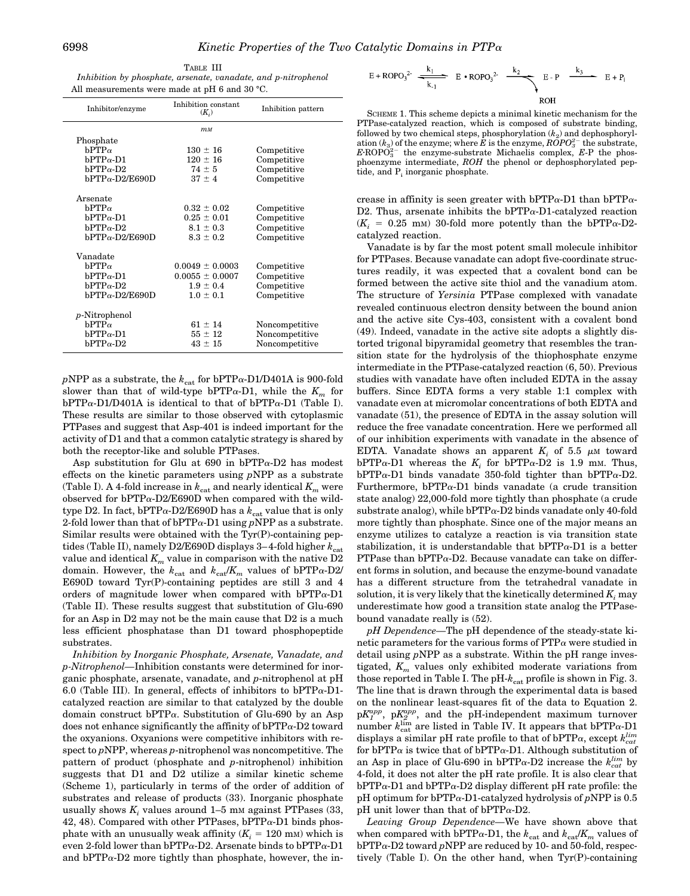| TABLE III                                                      |
|----------------------------------------------------------------|
| Inhibition by phosphate, arsenate, vanadate, and p-nitrophenol |
| All measurements were made at pH 6 and 30 °C.                  |

| Inhibitor/enzyme       | Inhibition constant<br>$(K_i)$ | Inhibition pattern |
|------------------------|--------------------------------|--------------------|
|                        | $m_M$                          |                    |
| Phosphate              |                                |                    |
| $bPTP\alpha$           | $130 \pm 16$                   | Competitive        |
| $bPTP\alpha-D1$        | $120 \pm 16$                   | Competitive        |
| $bPTP\alpha-D2$        | $74 \pm 5$                     | Competitive        |
| $bPTP\alpha$ -D2/E690D | $37 \pm 4$                     | Competitive        |
|                        |                                |                    |
| Arsenate               |                                |                    |
| $bPTP\alpha$           | $0.32 \pm 0.02$                | Competitive        |
| $bPTP\alpha-D1$        | $0.25 \pm 0.01$                | Competitive        |
| $bPTP\alpha-D2$        | $8.1 \pm 0.3$                  | Competitive        |
| $bPTP\alpha$ -D2/E690D | $8.3 \pm 0.2$                  | Competitive        |
| Vanadate               |                                |                    |
|                        |                                |                    |
| $bPTP\alpha$           | $0.0049 \pm 0.0003$            | Competitive        |
| $bPTP\alpha - D1$      | $0.0055 \pm 0.0007$            | Competitive        |
| b $PTP\alpha$ -D2      | $1.9 \pm 0.4$                  | Competitive        |
| $bPTP\alpha-D2/E690D$  | $1.0 \pm 0.1$                  | Competitive        |
| $p$ -Nitrophenol       |                                |                    |
| $bPTP\alpha$           | $61 \pm 14$                    |                    |
|                        |                                | Noncompetitive     |
| $bPTP\alpha-D1$        | $55 \pm 12$                    | Noncompetitive     |
| $bPTP\alpha-D2$        | $43 \pm 15$                    | Noncompetitive     |

 $p\!rm NPP}$  as a substrate, the  $k_{\rm cat}$  for bPTPa-D1/D401A is 900-fold slower than that of wild-type bPTP $\alpha$ -D1, while the  $K_m$  for  $bPTP\alpha-D1/D401A$  is identical to that of  $bPTP\alpha-D1$  (Table I). These results are similar to those observed with cytoplasmic PTPases and suggest that Asp-401 is indeed important for the activity of D1 and that a common catalytic strategy is shared by both the receptor-like and soluble PTPases.

Asp substitution for Glu at  $690$  in bPTP $\alpha$ -D2 has modest effects on the kinetic parameters using *p*NPP as a substrate (Table I). A 4-fold increase in  $k_{\text{cat}}$  and nearly identical  $K_m$  were observed for  $bPTP\alpha-D2/E690D$  when compared with the wildtype D2. In fact, bPTP $\alpha$ -D2/E690D has a  $k_{\text{cat}}$  value that is only 2-fold lower than that of  $bPTP\alpha-D1$  using  $pNPP$  as a substrate. Similar results were obtained with the Tyr(P)-containing peptides (Table II), namely D2/E690D displays 3-4-fold higher  $k_{\text{cat}}$ value and identical  $K_m$  value in comparison with the native  $D2$ domain. However, the  $k_{\text{cat}}$  and  $k_{\text{cat}}/K_m$  values of bPTP $\alpha$ -D2/ E690D toward Tyr(P)-containing peptides are still 3 and 4 orders of magnitude lower when compared with  $bPTP\alpha-D1$ (Table II). These results suggest that substitution of Glu-690 for an Asp in D2 may not be the main cause that D2 is a much less efficient phosphatase than D1 toward phosphopeptide substrates.

*Inhibition by Inorganic Phosphate, Arsenate, Vanadate, and p-Nitrophenol—*Inhibition constants were determined for inorganic phosphate, arsenate, vanadate, and *p*-nitrophenol at pH 6.0 (Table III). In general, effects of inhibitors to bPTP $\alpha$ -D1catalyzed reaction are similar to that catalyzed by the double domain construct  $bPTP\alpha$ . Substitution of Glu-690 by an Asp does not enhance significantly the affinity of  $bPTP\alpha-D2$  toward the oxyanions. Oxyanions were competitive inhibitors with respect to *p*NPP, whereas *p*-nitrophenol was noncompetitive. The pattern of product (phosphate and *p*-nitrophenol) inhibition suggests that D1 and D2 utilize a similar kinetic scheme (Scheme 1), particularly in terms of the order of addition of substrates and release of products (33). Inorganic phosphate usually shows  $K_i$  values around  $1-5$  mm against PTPases  $(33, 12)$ 42, 48). Compared with other PTPases,  $bPTP\alpha-D1$  binds phosphate with an unusually weak affinity  $(K_i = 120 \text{ mm})$  which is even 2-fold lower than bPTP $\alpha$ -D2. Arsenate binds to bPTP $\alpha$ -D1 and  $bPTP\alpha-D2$  more tightly than phosphate, however, the in-

$$
E + \text{ROPO}_3^2 \xrightarrow[k_1]{k_1} E \cdot \text{ROPO}_3^2 \xrightarrow[k_2]{k_2} E - P \xrightarrow[k_3]{k_3} E + P_i
$$

SCHEME 1. This scheme depicts a minimal kinetic mechanism for the PTPase-catalyzed reaction, which is composed of substrate binding, followed by two chemical steps, phosphorylation  $(k_2)$  and dephosphoryl- $\tilde{R}$  ation  $(k_3)$  of the enzyme; where  $\tilde{E}$  is the enzyme,  $\tilde{R}$   $\tilde{O}$  $PO_3^{2-}$  the substrate,  $E \cdot \text{ROPO}_3^{2-}$  the enzyme-substrate Michaelis complex,  $E \cdot P$  the phosphoenzyme intermediate, *ROH* the phenol or dephosphorylated peptide, and  $P_i$  inorganic phosphate.

crease in affinity is seen greater with  $bPTP\alpha-D1$  than  $bPTP\alpha$ -D2. Thus, arsenate inhibits the  $bPTP\alpha-D1$ -catalyzed reaction  $(K<sub>i</sub> = 0.25$  mm) 30-fold more potently than the bPTP $\alpha$ -D2catalyzed reaction.

Vanadate is by far the most potent small molecule inhibitor for PTPases. Because vanadate can adopt five-coordinate structures readily, it was expected that a covalent bond can be formed between the active site thiol and the vanadium atom. The structure of *Yersinia* PTPase complexed with vanadate revealed continuous electron density between the bound anion and the active site Cys-403, consistent with a covalent bond (49). Indeed, vanadate in the active site adopts a slightly distorted trigonal bipyramidal geometry that resembles the transition state for the hydrolysis of the thiophosphate enzyme intermediate in the PTPase-catalyzed reaction (6, 50). Previous studies with vanadate have often included EDTA in the assay buffers. Since EDTA forms a very stable 1:1 complex with vanadate even at micromolar concentrations of both EDTA and vanadate (51), the presence of EDTA in the assay solution will reduce the free vanadate concentration. Here we performed all of our inhibition experiments with vanadate in the absence of EDTA. Vanadate shows an apparent  $K_i$  of 5.5  $\mu$ M toward  $bPTP\alpha-D1$  whereas the  $K_i$  for  $bPTP\alpha-D2$  is 1.9 mm. Thus,  $bPTP\alpha-D1$  binds vanadate 350-fold tighter than  $bPTP\alpha-D2$ . Furthermore,  $bPTP\alpha-D1$  binds vanadate (a crude transition state analog) 22,000-fold more tightly than phosphate (a crude substrate analog), while  $bPTP\alpha-D2$  binds vanadate only 40-fold more tightly than phosphate. Since one of the major means an enzyme utilizes to catalyze a reaction is via transition state stabilization, it is understandable that  $bPTP\alpha-D1$  is a better  $PTP$ ase than  $bPTP\alpha-D2$ . Because vanadate can take on different forms in solution, and because the enzyme-bound vanadate has a different structure from the tetrahedral vanadate in solution, it is very likely that the kinetically determined  $K<sub>i</sub>$  may underestimate how good a transition state analog the PTPasebound vanadate really is (52).

*pH Dependence—*The pH dependence of the steady-state kinetic parameters for the various forms of  $PTP\alpha$  were studied in detail using *p*NPP as a substrate. Within the pH range investigated,  $K_m$  values only exhibited moderate variations from those reported in Table I. The  $pH-k_{cat}$  profile is shown in Fig. 3. The line that is drawn through the experimental data is based on the nonlinear least-squares fit of the data to Equation 2.  $pK_1^{app}$ ,  $pK_2^{app}$ , and the pH-independent maximum turnover number  $k_{\text{cat}}^{\text{lim}}$  are listed in Table IV. It appears that bPTP $\alpha$ -D1 displays a similar pH rate profile to that of  $bPTP\alpha$ , except  $k_{cat}^{lim}$ for bPTP $\alpha$  is twice that of bPTP $\alpha$ -D1. Although substitution of an Asp in place of Glu-690 in  $bPTP\alpha-D2$  increase the  $k_{cat}^{lim}$  by 4-fold, it does not alter the pH rate profile. It is also clear that  $bPTP\alpha$ -D1 and  $bPTP\alpha$ -D2 display different pH rate profile: the pH optimum for bPTPa-D1-catalyzed hydrolysis of *p*NPP is 0.5 pH unit lower than that of  $bPTP\alpha-D2$ .

*Leaving Group Dependence—*We have shown above that when compared with bPTP $\alpha$ -D1, the  $k_{\text{cat}}$  and  $k_{\text{cat}}/K_m$  values of bPTPa-D2 toward *p*NPP are reduced by 10- and 50-fold, respectively (Table I). On the other hand, when Tyr(P)-containing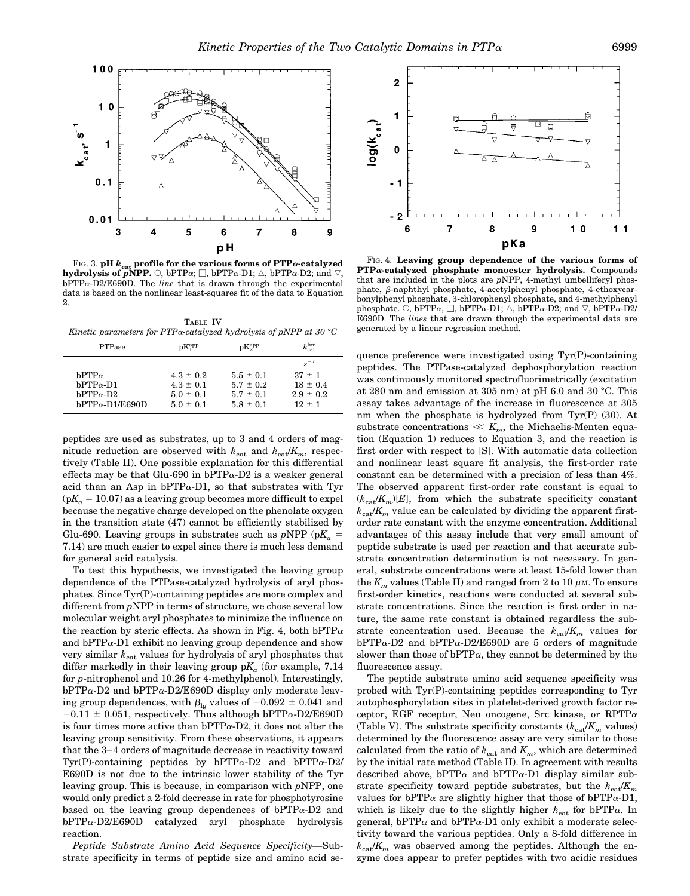

FIG. 3.  $pH$   $k_{cat}$  profile for the various forms of  $PTP\alpha$ -catalyzed **hydrolysis of** *p***NPP.**  $\bigcirc$ , bPTP $\alpha$ ;  $\Box$ , bPTP $\alpha$ -D1;  $\triangle$ , bPTP $\alpha$ -D2; and  $\triangledown$ , bPTPa-D2/E690D. The *line* that is drawn through the experimental data is based on the nonlinear least-squares fit of the data to Equation 2.

TABLE IV *Kinetic parameters for PTP*a*-catalyzed hydrolysis of pNPP at 30 °C*

| <b>PTPase</b>         | $pK_1^{\rm app}$ | $pK_2^{\rm app}$ | $k_{\mathrm{cat}}^{\mathrm{lim}}$ |
|-----------------------|------------------|------------------|-----------------------------------|
|                       |                  |                  | $s^{-1}$                          |
| $bPTP\alpha$          | $4.3 \pm 0.2$    | $5.5 \pm 0.1$    | $37 + 1$                          |
| $bPTP\alpha-D1$       | $4.3 \pm 0.1$    | $5.7 \pm 0.2$    | $18 \pm 0.4$                      |
| $bPTP\alpha-D2$       | $5.0 \pm 0.1$    | $5.7 \pm 0.1$    | $2.9 \pm 0.2$                     |
| $bPTP\alpha-D1/E690D$ | $5.0 \pm 0.1$    | $5.8 \pm 0.1$    | $12 + 1$                          |

peptides are used as substrates, up to 3 and 4 orders of magnitude reduction are observed with  $k_{\text{cat}}$  and  $k_{\text{cat}}/K_m$ , respectively (Table II). One possible explanation for this differential effects may be that Glu-690 in  $bPTP\alpha-D2$  is a weaker general acid than an Asp in  $bPTP\alpha-D1$ , so that substrates with Tyr  $(pK_a = 10.07)$  as a leaving group becomes more difficult to expel because the negative charge developed on the phenolate oxygen in the transition state (47) cannot be efficiently stabilized by Glu-690. Leaving groups in substrates such as  $pNPP$  ( $pK_a =$ 7.14) are much easier to expel since there is much less demand for general acid catalysis.

To test this hypothesis, we investigated the leaving group dependence of the PTPase-catalyzed hydrolysis of aryl phosphates. Since Tyr(P)-containing peptides are more complex and different from *p*NPP in terms of structure, we chose several low molecular weight aryl phosphates to minimize the influence on the reaction by steric effects. As shown in Fig. 4, both bPTP $\alpha$ and  $bPTP\alpha-D1$  exhibit no leaving group dependence and show very similar  $k_{\text{cat}}$  values for hydrolysis of aryl phosphates that differ markedly in their leaving group  $pK_a$  (for example,  $7.14$ for *p*-nitrophenol and 10.26 for 4-methylphenol). Interestingly,  $bPTP\alpha-D2$  and  $bPTP\alpha-D2/E690D$  display only moderate leaving group dependences, with  $\beta_{\lg}$  values of  $-0.092 \pm 0.041$  and  $-0.11 \pm 0.051$ , respectively. Thus although bPTP $\alpha$ -D2/E690D is four times more active than  $bPTP\alpha-D2$ , it does not alter the leaving group sensitivity. From these observations, it appears that the 3– 4 orders of magnitude decrease in reactivity toward Tyr(P)-containing peptides by  $bPTP\alpha-D2$  and  $bPTP\alpha-D2$ / E690D is not due to the intrinsic lower stability of the Tyr leaving group. This is because, in comparison with *p*NPP, one would only predict a 2-fold decrease in rate for phosphotyrosine based on the leaving group dependences of  $bPTP\alpha-D2$  and bPTPa-D2/E690D catalyzed aryl phosphate hydrolysis reaction.

*Peptide Substrate Amino Acid Sequence Specificity—*Substrate specificity in terms of peptide size and amino acid se-



FIG. 4. **Leaving group dependence of the various forms of PTP**a**-catalyzed phosphate monoester hydrolysis.** Compounds that are included in the plots are *p*NPP, 4-methyl umbelliferyl phosphate,  $\beta$ -naphthyl phosphate, 4-acetylphenyl phosphate, 4-ethoxycarbonylphenyl phosphate, 3-chlorophenyl phosphate, and 4-methylphenyl phosphate.  $\circ$ , bPTP $\alpha$ ,  $\Box$ , bPTP $\alpha$ -D1;  $\triangle$ , bPTP $\alpha$ -D2; and  $\triangledown$ , bPTP $\alpha$ -D2/ E690D. The *lines* that are drawn through the experimental data are generated by a linear regression method.

quence preference were investigated using Tyr(P)-containing peptides. The PTPase-catalyzed dephosphorylation reaction was continuously monitored spectrofluorimetrically (excitation at 280 nm and emission at 305 nm) at pH 6.0 and 30 °C. This assay takes advantage of the increase in fluorescence at 305 nm when the phosphate is hydrolyzed from Tyr(P) (30). At substrate concentrations  $\ll K_m$ , the Michaelis-Menten equation (Equation 1) reduces to Equation 3, and the reaction is first order with respect to [S]. With automatic data collection and nonlinear least square fit analysis, the first-order rate constant can be determined with a precision of less than 4%. The observed apparent first-order rate constant is equal to  $(k_{\text{cat}}/K_m)[E]$ , from which the substrate specificity constant  $k_{\text{cat}}/K_m$  value can be calculated by dividing the apparent firstorder rate constant with the enzyme concentration. Additional advantages of this assay include that very small amount of peptide substrate is used per reaction and that accurate substrate concentration determination is not necessary. In general, substrate concentrations were at least 15-fold lower than the  $K_m$  values (Table II) and ranged from 2 to 10  $\mu$ m. To ensure first-order kinetics, reactions were conducted at several substrate concentrations. Since the reaction is first order in nature, the same rate constant is obtained regardless the substrate concentration used. Because the  $k_{\text{cat}}/K_m$  values for  $bPTP\alpha-D2$  and  $bPTP\alpha-D2/EG90D$  are 5 orders of magnitude slower than those of  $bPTP\alpha$ , they cannot be determined by the fluorescence assay.

The peptide substrate amino acid sequence specificity was probed with Tyr(P)-containing peptides corresponding to Tyr autophosphorylation sites in platelet-derived growth factor receptor, EGF receptor, Neu oncogene, Src kinase, or RPTP $\alpha$ (Table V). The substrate specificity constants  $(k_{cat}/K_m \text{ values})$ determined by the fluorescence assay are very similar to those calculated from the ratio of  $k_{\text{cat}}$  and  $K_m$ , which are determined by the initial rate method (Table II). In agreement with results described above, bPTP $\alpha$  and bPTP $\alpha$ -D1 display similar substrate specificity toward peptide substrates, but the  $k_{c}^{H}$ /*K<sub>m</sub>* values for bPTP $\alpha$  are slightly higher that those of bPTP $\alpha$ -D1, which is likely due to the slightly higher  $k_{\text{cat}}$  for bPTP $\alpha$ . In general, bPTP $\alpha$  and bPTP $\alpha$ -D1 only exhibit a moderate selectivity toward the various peptides. Only a 8-fold difference in  $k_{cst}/K_m$  was observed among the peptides. Although the enzyme does appear to prefer peptides with two acidic residues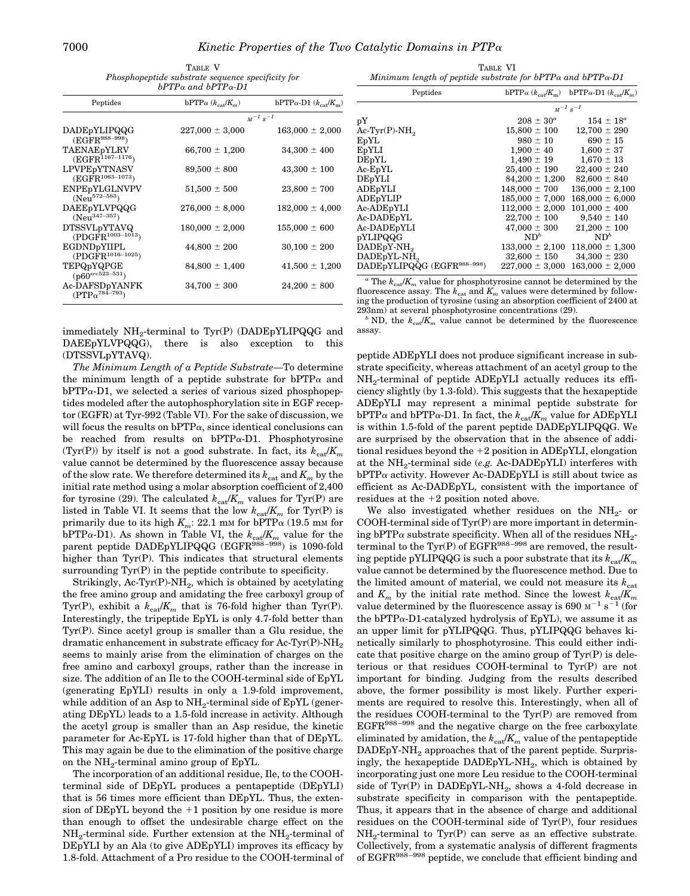| TABLE V                                           |  |  |  |
|---------------------------------------------------|--|--|--|
| Phosphopeptide substrate sequence specificity for |  |  |  |
| $bPTP\alpha$ and $bPTP\alpha$ -D1                 |  |  |  |

| Peptides                                          | bPTP $\alpha$ ( $k_{\text{cat}}/K_m$ ) | bPTP $\alpha$ -D1 $(k_{\text{cat}}/K_m)$ |  |
|---------------------------------------------------|----------------------------------------|------------------------------------------|--|
|                                                   | $M^{-1} s^{-1}$                        |                                          |  |
| DADEpYLIPQQG<br>$(EGFR^{988-998})$                | $227,000 \pm 3,000$                    | $163,000 \pm 2,000$                      |  |
| TAENAEpYLRV<br>$(EGFR^{1167-1176})$               | $66,700 \pm 1,200$                     | $34,300 \pm 400$                         |  |
| LPVPEpYTNASV<br>$(EGFR^{1063-1073})$              | $89,500 \pm 800$                       | $43,300 \pm 100$                         |  |
| ENPE <sub>p</sub> YLGLNVPV<br>$(Neu572-583)$      | $51,500 \pm 500$                       | $23,800 \pm 700$                         |  |
| DAEEpYLVPQQG<br>$(Neu^{347-357})$                 | $276,000 \pm 8,000$                    | $182,000 \pm 4,000$                      |  |
| <b>DTSSVLpYTAVQ</b><br>$(PDGFR^{1003-1013})$      | $180,000 \pm 2,000$                    | $155,000 \pm 600$                        |  |
| EGDNDpYIIPL<br>(PDGFR <sup>1016-1025</sup> )      | $44,800 \pm 200$                       | $30,100 \pm 200$                         |  |
| TEPQpYQPGE<br>$($ p60 <sup>src523-531</sup> )     | $84,800 \pm 1,400$                     | $41,500 \pm 1,200$                       |  |
| Ac-DAFSDpYANFK<br>$(PTP\alpha^{78\tilde{4}-793})$ | $34,700 \pm 300$                       | $24,200 \pm 800$                         |  |

immediately NH<sub>2</sub>-terminal to Tyr(P) (DADEpYLIPQQG and DAEEpYLVPQQG), there is also exception to this (DTSSVLpYTAVQ).

*The Minimum Length of a Peptide Substrate—*To determine the minimum length of a peptide substrate for  $bPTP\alpha$  and  $bPTP\alpha-D1$ , we selected a series of various sized phosphopeptides modeled after the autophosphorylation site in EGF receptor (EGFR) at Tyr-992 (Table VI). For the sake of discussion, we will focus the results on  $bPTP\alpha$ , since identical conclusions can be reached from results on  $bPTP\alpha-D1$ . Phosphotyrosine (Tyr(P)) by itself is not a good substrate. In fact, its  $k_{ca}/K_m$ value cannot be determined by the fluorescence assay because of the slow rate. We therefore determined its  $k_{\text{cat}}$  and  $K_m$  by the initial rate method using a molar absorption coefficient of 2,400 for tyrosine (29). The calculated  $k_{cat}/K_m$  values for Tyr(P) are listed in Table VI. It seems that the low  $k_{cat}/K_m$  for Tyr(P) is primarily due to its high  $K_m$ : 22.1 mm for bPTP $\alpha$  (19.5 mm for bPTP $\alpha$ -D1). As shown in Table VI, the  $k_{cat}/K_m$  value for the parent peptide DADEpYLIPQQG (EGFR<sup>988–998</sup>) is 1090-fold higher than Tyr(P). This indicates that structural elements surrounding  $Tyr(P)$  in the peptide contribute to specificity.

Strikingly, Ac-Tyr(P)-NH<sub>2</sub>, which is obtained by acetylating the free amino group and amidating the free carboxyl group of Tyr(P), exhibit a  $k_{\text{cat}}/K_m$  that is 76-fold higher than Tyr(P). Interestingly, the tripeptide EpYL is only 4.7-fold better than Tyr(P). Since acetyl group is smaller than a Glu residue, the dramatic enhancement in substrate efficacy for Ac-Tyr(P)-NH<sub>2</sub> seems to mainly arise from the elimination of charges on the free amino and carboxyl groups, rather than the increase in size. The addition of an Ile to the COOH-terminal side of EpYL (generating EpYLI) results in only a 1.9-fold improvement, while addition of an Asp to  $NH_2$ -terminal side of EpYL (generating DEpYL) leads to a 1.5-fold increase in activity. Although the acetyl group is smaller than an Asp residue, the kinetic parameter for Ac-EpYL is 17-fold higher than that of DEpYL. This may again be due to the elimination of the positive charge on the  $NH<sub>2</sub>$ -terminal amino group of EpYL.

The incorporation of an additional residue, Ile, to the COOHterminal side of DEpYL produces a pentapeptide (DEpYLI) that is 56 times more efficient than DEpYL. Thus, the extension of DEpYL beyond the  $+1$  position by one residue is more than enough to offset the undesirable charge effect on the NH<sub>2</sub>-terminal side. Further extension at the NH<sub>2</sub>-terminal of DEpYLI by an Ala (to give ADEpYLI) improves its efficacy by 1.8-fold. Attachment of a Pro residue to the COOH-terminal of

TABLE VI *Minimum length of peptide substrate for bPTP*<sup>a</sup> *and bPTP*a*-D1*

| Peptides                                |                          | bPTP $\alpha$ ( $k_{\text{cat}}/K_{\text{m}}$ ) bPTP $\alpha$ -D1 ( $k_{\text{cat}}/K_{\text{m}}$ ) |
|-----------------------------------------|--------------------------|-----------------------------------------------------------------------------------------------------|
|                                         | $M^{-1}$ s <sup>-1</sup> |                                                                                                     |
| pY                                      | $208 \pm 30^a$           | $154 \pm 18^a$                                                                                      |
| $Ac-Tyr(P)-NH2$                         | $15,800 \pm 100$         | $12,700 \pm 290$                                                                                    |
| EpYL                                    | $980 \pm 10$             | $690 \pm 15$                                                                                        |
| EpYLI                                   | $1,900 \pm 40$           | $1,600 \pm 37$                                                                                      |
| DEpYL                                   | $1.490 \pm 19$           | $1,670 \pm 13$                                                                                      |
| $Ac$ -EpYL                              | $25,400 \pm 190$         | $22,400 \pm 240$                                                                                    |
| <b>DEpYLI</b>                           | $84,200 \pm 1,200$       | $82,600 \pm 840$                                                                                    |
| ADEpYLI                                 | $148,000 \pm 700$        | $136,000 \pm 2,100$                                                                                 |
| ADEpYLIP                                | $185,000 \pm 7,000$      | $168,000 \pm 6,000$                                                                                 |
| Ac-ADEpYLI                              | $112,000 \pm 2,000$      | $101,000 \pm 400$                                                                                   |
| Ac-DADEpYL                              | $22.700 \pm 100$         | $9,540 \pm 140$                                                                                     |
| Ac-DADEpYLI                             | $47,000 \pm 300$         | $21,200 \pm 100$                                                                                    |
| pYLIPQQG                                | ND <sup>b</sup>          | $ND^b$                                                                                              |
| DADEpY-NH <sub>2</sub>                  | $133,000 \pm 2,100$      | $118,000 \pm 1,300$                                                                                 |
| DADEpYL-NH <sub>2</sub>                 | $32,600 \pm 150$         | $34,300 \pm 230$                                                                                    |
| DADEpYLIPQQG (EGFR <sup>988-998</sup> ) | $227,000 \pm 3,000$      | $163,000 \pm 2,000$                                                                                 |

 $a$ <sup>*a*</sup> The  $k_{ca}/K_m$  value for phosphotyrosine cannot be determined by the fluorescence assay. The  $k_{\text{cat}}$  and  $K_m$  values were determined by following the production of tyrosine (using an absorption coefficient of 2400 at

293nm) at several phosphotyrosine concentrations (29).  $^b$  ND, the  $k_{\text{car}}/K_m$  value cannot be determined by the fluorescence assay.

peptide ADEpYLI does not produce significant increase in substrate specificity, whereas attachment of an acetyl group to the NH2-terminal of peptide ADEpYLI actually reduces its efficiency slightly (by 1.3-fold). This suggests that the hexapeptide ADEpYLI may represent a minimal peptide substrate for  $bPTP\alpha$  and  $bPTP\alpha$ -D1. In fact, the  $k_{cat}/K_m$  value for ADEpYLI is within 1.5-fold of the parent peptide DADEpYLIPQQG. We are surprised by the observation that in the absence of additional residues beyond the  $+2$  position in ADEpYLI, elongation at the NH<sub>2</sub>-terminal side (*e.g.* Ac-DADE<sub>p</sub>YLI) interferes with  $bPTP\alpha$  activity. However Ac-DADEpYLI is still about twice as efficient as Ac-DADEpYL, consistent with the importance of residues at the  $+2$  position noted above.

We also investigated whether residues on the  $NH<sub>2</sub>$  or COOH-terminal side of Tyr(P) are more important in determining bPTP $\alpha$  substrate specificity. When all of the residues NH<sub>2</sub>terminal to the  $\text{Tyr}(P)$  of  $\text{EGFR}^{988-998}$  are removed, the resulting peptide pYLIPQQG is such a poor substrate that its  $k_{cat}/K_m$ value cannot be determined by the fluorescence method. Due to the limited amount of material, we could not measure its  $k_{\text{cat}}$ and  $K_m$  by the initial rate method. Since the lowest  $k_{\text{cat}}/K_m$ value determined by the fluorescence assay is 690  $\mathrm{M}^{-1}$  s<sup>-1</sup> (for the  $bPTP\alpha-D1-catalyzed$  hydrolysis of  $EpYL$ ), we assume it as an upper limit for pYLIPQQG. Thus, pYLIPQQG behaves kinetically similarly to phosphotyrosine. This could either indicate that positive charge on the amino group of  $\text{Tr}(\mathbf{P})$  is deleterious or that residues COOH-terminal to Tyr(P) are not important for binding. Judging from the results described above, the former possibility is most likely. Further experiments are required to resolve this. Interestingly, when all of the residues COOH-terminal to the Tyr(P) are removed from EGFR988 –998 and the negative charge on the free carboxylate eliminated by amidation, the  $k_{cat}/K_m$  value of the pentapeptide  $DADEpY-NH<sub>2</sub>$  approaches that of the parent peptide. Surprisingly, the hexapeptide  $DADEpYL-NH<sub>2</sub>$ , which is obtained by incorporating just one more Leu residue to the COOH-terminal side of Tyr(P) in DADEpYL-NH<sub>2</sub>, shows a 4-fold decrease in substrate specificity in comparison with the pentapeptide. Thus, it appears that in the absence of charge and additional residues on the COOH-terminal side of Tyr(P), four residues  $NH_2$ -terminal to Tyr(P) can serve as an effective substrate. Collectively, from a systematic analysis of different fragments of EGFR<sup>988-998</sup> peptide, we conclude that efficient binding and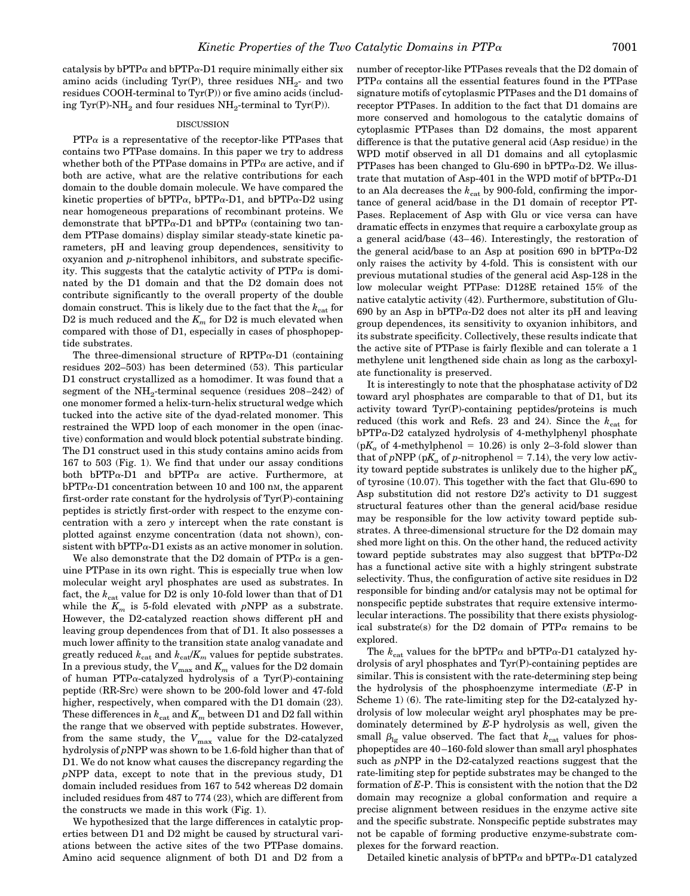catalysis by bPTP $\alpha$  and bPTP $\alpha$ -D1 require minimally either six amino acids (including Tyr(P), three residues  $NH<sub>2</sub>$ - and two residues COOH-terminal to Tyr(P)) or five amino acids (including Tyr(P)-NH<sub>2</sub> and four residues  $NH_2$ -terminal to Tyr(P)).

#### DISCUSSION

 $PTP\alpha$  is a representative of the receptor-like PTPases that contains two PTPase domains. In this paper we try to address whether both of the PTPase domains in  $PTP\alpha$  are active, and if both are active, what are the relative contributions for each domain to the double domain molecule. We have compared the kinetic properties of bPTP $\alpha$ , bPTP $\alpha$ -D1, and bPTP $\alpha$ -D2 using near homogeneous preparations of recombinant proteins. We demonstrate that bPTP $\alpha$ -D1 and bPTP $\alpha$  (containing two tandem PTPase domains) display similar steady-state kinetic parameters, pH and leaving group dependences, sensitivity to oxyanion and *p*-nitrophenol inhibitors, and substrate specificity. This suggests that the catalytic activity of  $PTP\alpha$  is dominated by the D1 domain and that the D2 domain does not contribute significantly to the overall property of the double domain construct. This is likely due to the fact that the  $k_{\text{cat}}$  for D2 is much reduced and the  $K_m$  for D2 is much elevated when compared with those of D1, especially in cases of phosphopeptide substrates.

The three-dimensional structure of  $RPTP\alpha-D1$  (containing residues 202–503) has been determined (53). This particular D1 construct crystallized as a homodimer. It was found that a segment of the  $NH<sub>2</sub>$ -terminal sequence (residues 208–242) of one monomer formed a helix-turn-helix structural wedge which tucked into the active site of the dyad-related monomer. This restrained the WPD loop of each monomer in the open (inactive) conformation and would block potential substrate binding. The D1 construct used in this study contains amino acids from 167 to 503 (Fig. 1). We find that under our assay conditions both bPTP $\alpha$ -D1 and bPTP $\alpha$  are active. Furthermore, at  $bPTP\alpha-D1$  concentration between 10 and 100 nm, the apparent first-order rate constant for the hydrolysis of Tyr(P)-containing peptides is strictly first-order with respect to the enzyme concentration with a zero *y* intercept when the rate constant is plotted against enzyme concentration (data not shown), consistent with  $bPTP\alpha-D1$  exists as an active monomer in solution.

We also demonstrate that the D2 domain of  $PTP\alpha$  is a genuine PTPase in its own right. This is especially true when low molecular weight aryl phosphates are used as substrates. In fact, the  $k_{\text{cat}}$  value for D2 is only 10-fold lower than that of D1 while the  $K_m$  is 5-fold elevated with *pNPP* as a substrate. However, the D2-catalyzed reaction shows different pH and leaving group dependences from that of D1. It also possesses a much lower affinity to the transition state analog vanadate and greatly reduced  $k_{\text{cat}}$  and  $k_{\text{cat}}/K_m$  values for peptide substrates. In a previous study, the  $V_{\text{max}}$  and  $K_m$  values for the D2 domain of human PTP $\alpha$ -catalyzed hydrolysis of a Tyr(P)-containing peptide (RR-Src) were shown to be 200-fold lower and 47-fold higher, respectively, when compared with the D1 domain (23). These differences in  $k_{\text{cat}}$  and  $K_m$  between D1 and D2 fall within the range that we observed with peptide substrates. However, from the same study, the  $V_{\text{max}}$  value for the D2-catalyzed hydrolysis of *p*NPP was shown to be 1.6-fold higher than that of D1. We do not know what causes the discrepancy regarding the *p*NPP data, except to note that in the previous study, D1 domain included residues from 167 to 542 whereas D2 domain included residues from 487 to 774 (23), which are different from the constructs we made in this work (Fig. 1).

We hypothesized that the large differences in catalytic properties between D1 and D2 might be caused by structural variations between the active sites of the two PTPase domains. Amino acid sequence alignment of both D1 and D2 from a number of receptor-like PTPases reveals that the D2 domain of  $PTP\alpha$  contains all the essential features found in the PTPase signature motifs of cytoplasmic PTPases and the D1 domains of receptor PTPases. In addition to the fact that D1 domains are more conserved and homologous to the catalytic domains of cytoplasmic PTPases than D2 domains, the most apparent difference is that the putative general acid (Asp residue) in the WPD motif observed in all D1 domains and all cytoplasmic PTPases has been changed to Glu-690 in  $bPTP\alpha-D2$ . We illustrate that mutation of Asp-401 in the WPD motif of  $bPTP\alpha-D1$ to an Ala decreases the  $k_{\text{cat}}$  by 900-fold, confirming the importance of general acid/base in the D1 domain of receptor PT-Pases. Replacement of Asp with Glu or vice versa can have dramatic effects in enzymes that require a carboxylate group as a general acid/base (43– 46). Interestingly, the restoration of the general acid/base to an Asp at position 690 in bPTP $\alpha$ -D2 only raises the activity by 4-fold. This is consistent with our previous mutational studies of the general acid Asp-128 in the low molecular weight PTPase: D128E retained 15% of the native catalytic activity (42). Furthermore, substitution of Glu-690 by an Asp in  $bPTP\alpha-D2$  does not alter its pH and leaving group dependences, its sensitivity to oxyanion inhibitors, and its substrate specificity. Collectively, these results indicate that the active site of PTPase is fairly flexible and can tolerate a 1 methylene unit lengthened side chain as long as the carboxylate functionality is preserved.

It is interestingly to note that the phosphatase activity of D2 toward aryl phosphates are comparable to that of D1, but its activity toward Tyr(P)-containing peptides/proteins is much reduced (this work and Refs. 23 and 24). Since the  $k_{\text{cat}}$  for  $bPTP\alpha-D2$  catalyzed hydrolysis of 4-methylphenyl phosphate  $(pK_a \text{ of } 4\text{-methylphenol} = 10.26)$  is only 2–3-fold slower than that of *p*NPP ( $pK_a$  of *p*-nitrophenol = 7.14), the very low activity toward peptide substrates is unlikely due to the higher  $pK_a$ of tyrosine (10.07). This together with the fact that Glu-690 to Asp substitution did not restore D2's activity to D1 suggest structural features other than the general acid/base residue may be responsible for the low activity toward peptide substrates. A three-dimensional structure for the D2 domain may shed more light on this. On the other hand, the reduced activity toward peptide substrates may also suggest that  $bPTP\alpha-D2$ has a functional active site with a highly stringent substrate selectivity. Thus, the configuration of active site residues in D2 responsible for binding and/or catalysis may not be optimal for nonspecific peptide substrates that require extensive intermolecular interactions. The possibility that there exists physiological substrate(s) for the D2 domain of  $PTP\alpha$  remains to be explored.

The  $k_{\text{cat}}$  values for the bPTP $\alpha$  and bPTP $\alpha$ -D1 catalyzed hydrolysis of aryl phosphates and Tyr(P)-containing peptides are similar. This is consistent with the rate-determining step being the hydrolysis of the phosphoenzyme intermediate (*E*-P in Scheme 1) (6). The rate-limiting step for the D2-catalyzed hydrolysis of low molecular weight aryl phosphates may be predominately determined by *E*-P hydrolysis as well, given the small  $\beta_{\text{lg}}$  value observed. The fact that  $k_{\text{cat}}$  values for phosphopeptides are 40 –160-fold slower than small aryl phosphates such as *p*NPP in the D2-catalyzed reactions suggest that the rate-limiting step for peptide substrates may be changed to the formation of *E*-P. This is consistent with the notion that the D2 domain may recognize a global conformation and require a precise alignment between residues in the enzyme active site and the specific substrate. Nonspecific peptide substrates may not be capable of forming productive enzyme-substrate complexes for the forward reaction.

Detailed kinetic analysis of  $bPTP\alpha$  and  $bPTP\alpha$ -D1 catalyzed